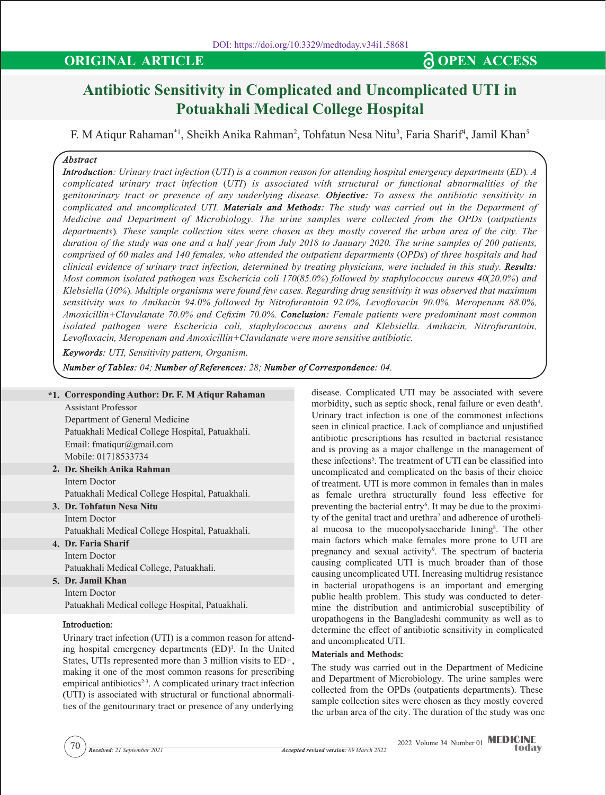# **ORIGINAL ARTICLE CONSERVANT AND SOLUTION CONSERVANT AND SOLUTION**

# **Antibiotic Sensitivity in Complicated and Uncomplicated UTI in Potuakhali Medical College Hospital**

F. M Atiqur Rahaman\*1, Sheikh Anika Rahman<sup>2</sup>, Tohfatun Nesa Nitu<sup>3</sup>, Faria Sharif<sup>4</sup>, Jamil Khan<sup>5</sup>

## *Abstract*

*Introduction: Urinary tract infection (UTI) is a common reason for attending hospital emergency departments (ED). A complicated urinary tract infection (UTI) is associated with structural or functional abnormalities of the genitourinary tract or presence of any underlying disease. Objective: To assess the antibiotic sensitivity in complicated and uncomplicated UTI. Materials and Methods: The study was carried out in the Department of Medicine and Department of Microbiology. The urine samples were collected from the OPDs (outpatients departments). These sample collection sites were chosen as they mostly covered the urban area of the city. The duration of the study was one and a half year from July 2018 to January 2020. The urine samples of 200 patients, comprised of 60 males and 140 females, who attended the outpatient departments (OPDs) of three hospitals and had clinical evidence of urinary tract infection, determined by treating physicians, were included in this study. Results: Most common isolated pathogen was Eschericia coli 170(85.0%) followed by staphylococcus aureus 40(20.0%) and Klebsiella (10%). Multiple organisms were found few cases. Regarding drug sensitivity it was observed that maximum sensitivity was to Amikacin 94.0% followed by Nitrofurantoin 92.0%, Levofloxacin 90.0%, Meropenam 88.0%, Amoxicillin+Clavulanate 70.0% and Cefixim 70.0%. Conclusion: Female patients were predominant most common isolated pathogen were Eschericia coli, staphylococcus aureus and Klebsiella. Amikacin, Nitrofurantoin, Levofloxacin, Meropenam and Amoxicillin+Clavulanate were more sensitive antibiotic.*

*Keywords: UTI, Sensitivity pattern, Organism.*

*Number of Tables: 04; Number of References: 28; Number of Correspondence: 04.*

#### **\*1. Corresponding Author: Dr. F. M Atiqur Rahaman** Assistant Professor

Department of General Medicine Patuakhali Medical College Hospital, Patuakhali. Email: fmatiqur@gmail.com Mobile: 01718533734

- **2. Dr. Sheikh Anika Rahman** Intern Doctor Patuakhali Medical College Hospital, Patuakhali.
- **3. Dr. Tohfatun Nesa Nitu** Intern Doctor

Patuakhali Medical College Hospital, Patuakhali.

**4. Dr. Faria Sharif** Intern Doctor

Patuakhali Medical College, Patuakhali.

- **5. Dr. Jamil Khan**
- Intern Doctor

Patuakhali Medical college Hospital, Patuakhali.

#### **Introduction:**

Urinary tract infection (UTI) is a common reason for attending hospital emergency departments  $(ED)^1$ . In the United States, UTIs represented more than 3 million visits to ED+, making it one of the most common reasons for prescribing empirical antibiotics<sup> $2-3$ </sup>. A complicated urinary tract infection (UTI) is associated with structural or functional abnormalities of the genitourinary tract or presence of any underlying

disease. Complicated UTI may be associated with severe morbidity, such as septic shock, renal failure or even death<sup>4</sup>. Urinary tract infection is one of the commonest infections seen in clinical practice. Lack of compliance and unjustified antibiotic prescriptions has resulted in bacterial resistance and is proving as a major challenge in the management of these infections5 . The treatment of UTI can be classified into uncomplicated and complicated on the basis of their choice of treatment. UTI is more common in females than in males as female urethra structurally found less effective for preventing the bacterial entry<sup>6</sup>. It may be due to the proximity of the genital tract and urethra<sup>7</sup> and adherence of urothelial mucosa to the mucopolysaccharide lining<sup>8</sup>. The other main factors which make females more prone to UTI are pregnancy and sexual activity<sup>9</sup>. The spectrum of bacteria causing complicated UTI is much broader than of those causing uncomplicated UTI. Increasing multidrug resistance in bacterial uropathogens is an important and emerging public health problem. This study was conducted to determine the distribution and antimicrobial susceptibility of uropathogens in the Bangladeshi community as well as to determine the effect of antibiotic sensitivity in complicated and uncomplicated UTI.

#### **Materials and Methods:**

The study was carried out in the Department of Medicine and Department of Microbiology. The urine samples were collected from the OPDs (outpatients departments). These sample collection sites were chosen as they mostly covered the urban area of the city. The duration of the study was one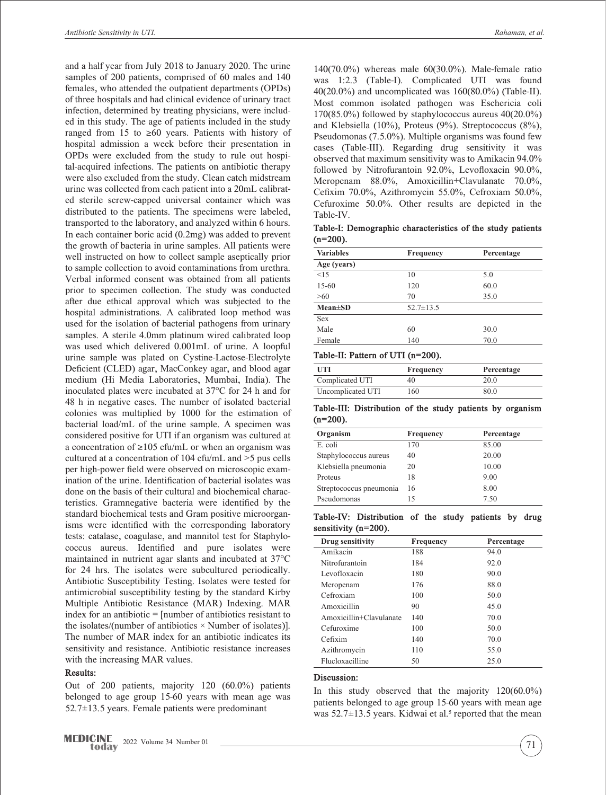and a half year from July 2018 to January 2020. The urine samples of 200 patients, comprised of 60 males and 140 females, who attended the outpatient departments (OPDs) of three hospitals and had clinical evidence of urinary tract infection, determined by treating physicians, were included in this study. The age of patients included in the study ranged from 15 to  $\geq 60$  years. Patients with history of hospital admission a week before their presentation in OPDs were excluded from the study to rule out hospital-acquired infections. The patients on antibiotic therapy were also excluded from the study. Clean catch midstream urine was collected from each patient into a 20mL calibrated sterile screw-capped universal container which was distributed to the patients. The specimens were labeled, transported to the laboratory, and analyzed within 6 hours. In each container boric acid (0.2mg) was added to prevent the growth of bacteria in urine samples. All patients were well instructed on how to collect sample aseptically prior to sample collection to avoid contaminations from urethra. Verbal informed consent was obtained from all patients prior to specimen collection. The study was conducted after due ethical approval which was subjected to the hospital administrations. A calibrated loop method was used for the isolation of bacterial pathogens from urinary samples. A sterile 4.0mm platinum wired calibrated loop was used which delivered 0.001mL of urine. A loopful urine sample was plated on Cystine-Lactose-Electrolyte Deficient (CLED) agar, MacConkey agar, and blood agar medium (Hi Media Laboratories, Mumbai, India). The inoculated plates were incubated at 37°C for 24 h and for 48 h in negative cases. The number of isolated bacterial colonies was multiplied by 1000 for the estimation of bacterial load/mL of the urine sample. A specimen was considered positive for UTI if an organism was cultured at a concentration of  $\geq 105$  cfu/mL or when an organism was cultured at a concentration of 104 cfu/mL and >5 pus cells per high-power field were observed on microscopic examination of the urine. Identification of bacterial isolates was done on the basis of their cultural and biochemical characteristics. Gramnegative bacteria were identified by the standard biochemical tests and Gram positive microorganisms were identified with the corresponding laboratory tests: catalase, coagulase, and mannitol test for Staphylococcus aureus. Identified and pure isolates were maintained in nutrient agar slants and incubated at 37°C for 24 hrs. The isolates were subcultured periodically. Antibiotic Susceptibility Testing. Isolates were tested for antimicrobial susceptibility testing by the standard Kirby Multiple Antibiotic Resistance (MAR) Indexing. MAR index for an antibiotic = [number of antibiotics resistant to the isolates/(number of antibiotics  $\times$  Number of isolates)]. The number of MAR index for an antibiotic indicates its sensitivity and resistance. Antibiotic resistance increases with the increasing MAR values.

#### **Results:**

Out of 200 patients, majority 120 (60.0%) patients belonged to age group 15-60 years with mean age was  $52.7\pm13.5$  years. Female patients were predominant

140(70.0%) whereas male 60(30.0%). Male-female ratio was 1:2.3 (Table-I). Complicated UTI was found 40(20.0%) and uncomplicated was 160(80.0%) (Table-II). Most common isolated pathogen was Eschericia coli 170(85.0%) followed by staphylococcus aureus 40(20.0%) and Klebsiella (10%), Proteus (9%). Streptococcus (8%), Pseudomonas (7.5.0%). Multiple organisms was found few cases (Table-III). Regarding drug sensitivity it was observed that maximum sensitivity was to Amikacin 94.0% followed by Nitrofurantoin 92.0%, Levofloxacin 90.0%, Meropenam 88.0%, Amoxicillin+Clavulanate 70.0%, Cefixim 70.0%, Azithromycin 55.0%, Cefroxiam 50.0%, Cefuroxime 50.0%. Other results are depicted in the Table-IV.

**Table-I: Demographic characteristics of the study patients (n=200).**

| <b>Variables</b> | Frequency       | Percentage |
|------------------|-----------------|------------|
| Age (years)      |                 |            |
| <1.5             | 10              | 5.0        |
| $15-60$          | 120             | 60.0       |
| $>60$            | 70              | 35.0       |
| $Mean \pm SD$    | $52.7 \pm 13.5$ |            |
| <b>Sex</b>       |                 |            |
| Male             | 60              | 30.0       |
| Female           | 140             | 70.0       |

#### **Table-II: Pattern of UTI (n=200).**

| UTI               | Frequency | Percentage |
|-------------------|-----------|------------|
| Complicated UTI   | 40        | 20.0       |
| Uncomplicated UTI | 160       | 80.0       |

**Table-III: Distribution of the study patients by organism (n=200).**

| Organism                | Frequency | Percentage |
|-------------------------|-----------|------------|
| E. coli                 | 170       | 85.00      |
| Staphylococcus aureus   | 40        | 20.00      |
| Klebsiella pneumonia    | 20        | 10.00      |
| Proteus                 | 18        | 9.00       |
| Streptococcus pneumonia | 16        | 8.00       |
| Pseudomonas             | 15        | 7.50       |

|                      | Table-IV: Distribution of the study patients by drug |  |  |  |
|----------------------|------------------------------------------------------|--|--|--|
| sensitivity (n=200). |                                                      |  |  |  |

| Drug sensitivity        | Frequency | Percentage |  |  |
|-------------------------|-----------|------------|--|--|
| Amikacin                | 188       | 94.0       |  |  |
| Nitrofurantoin          | 184       | 92.0       |  |  |
| Levofloxacin            | 180       | 90.0       |  |  |
| Meropenam               | 176       | 88.0       |  |  |
| Cefroxiam               | 100       | 50.0       |  |  |
| Amoxicillin             | 90        | 45.0       |  |  |
| Amoxicillin+Clavulanate | 140       | 70.0       |  |  |
| Cefuroxime              | 100       | 50.0       |  |  |
| Cefixim                 | 140       | 70.0       |  |  |
| Azithromycin            | 110       | 55.0       |  |  |
| Flucloxacilline         | 50        | 25.0       |  |  |
|                         |           |            |  |  |

#### **Discussion:**

In this study observed that the majority 120(60.0%) patients belonged to age group 15-60 years with mean age was  $52.7 \pm 13.5$  years. Kidwai et al.<sup>5</sup> reported that the mean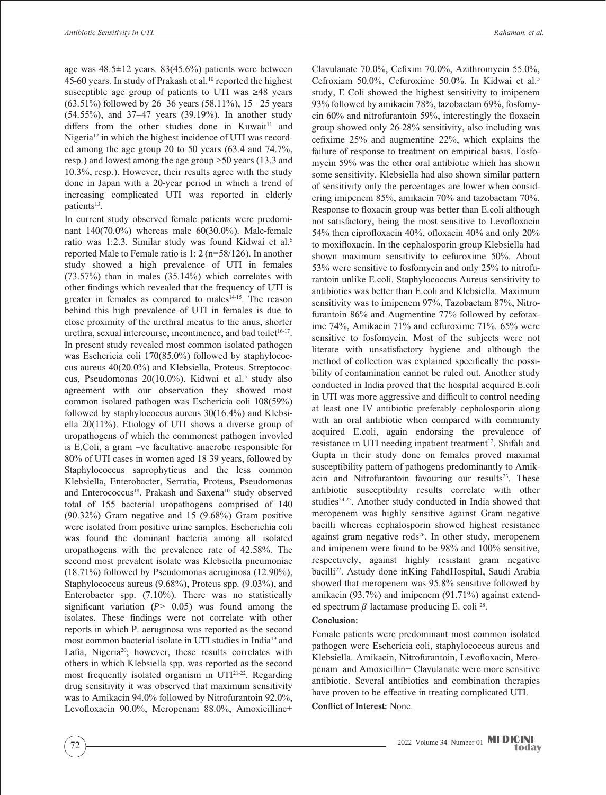age was  $48.5 \pm 12$  years.  $83(45.6\%)$  patients were between 45-60 years. In study of Prakash et al.<sup>10</sup> reported the highest susceptible age group of patients to UTI was ≥48 years (63.51%) followed by 26–36 years (58.11%), 15– 25 years (54.55%), and 37–47 years (39.19%). In another study differs from the other studies done in Kuwait<sup>11</sup> and Nigeria<sup>12</sup> in which the highest incidence of UTI was recorded among the age group 20 to 50 years (63.4 and 74.7%, resp.) and lowest among the age group >50 years (13.3 and 10.3%, resp.). However, their results agree with the study done in Japan with a 20-year period in which a trend of increasing complicated UTI was reported in elderly patients<sup>13</sup>.

In current study observed female patients were predominant 140(70.0%) whereas male 60(30.0%). Male-female ratio was 1:2.3. Similar study was found Kidwai et al.<sup>5</sup> reported Male to Female ratio is 1: 2 (n=58/126). In another study showed a high prevalence of UTI in females (73.57%) than in males (35.14%) which correlates with other findings which revealed that the frequency of UTI is greater in females as compared to males $14-15$ . The reason behind this high prevalence of UTI in females is due to close proximity of the urethral meatus to the anus, shorter urethra, sexual intercourse, incontinence, and bad toilet<sup>16-17</sup>. In present study revealed most common isolated pathogen was Eschericia coli 170(85.0%) followed by staphylococcus aureus 40(20.0%) and Klebsiella, Proteus. Streptococcus, Pseudomonas  $20(10.0\%)$ . Kidwai et al.<sup>5</sup> study also agreement with our observation they showed most common isolated pathogen was Eschericia coli 108(59%) followed by staphylococcus aureus 30(16.4%) and Klebsiella 20(11%). Etiology of UTI shows a diverse group of uropathogens of which the commonest pathogen invovled is E.Coli, a gram –ve facultative anaerobe responsible for 80% of UTI cases in women aged 18 39 years, followed by Staphylococcus saprophyticus and the less common Klebsiella, Enterobacter, Serratia, Proteus, Pseudomonas and Enterococcus<sup>18</sup>. Prakash and Saxena<sup>10</sup> study observed total of 155 bacterial uropathogens comprised of 140 (90.32%) Gram negative and 15 (9.68%) Gram positive were isolated from positive urine samples. Escherichia coli was found the dominant bacteria among all isolated uropathogens with the prevalence rate of 42.58%. The second most prevalent isolate was Klebsiella pneumoniae (18.71%) followed by Pseudomonas aeruginosa (12.90%), Staphylococcus aureus (9.68%), Proteus spp. (9.03%), and Enterobacter spp. (7.10%). There was no statistically significant variation  $(P > 0.05)$  was found among the isolates. These findings were not correlate with other reports in which P. aeruginosa was reported as the second most common bacterial isolate in UTI studies in India19 and Lafia, Nigeria<sup>20</sup>; however, these results correlates with others in which Klebsiella spp. was reported as the second most frequently isolated organism in UTI21-22. Regarding drug sensitivity it was observed that maximum sensitivity was to Amikacin 94.0% followed by Nitrofurantoin 92.0%, Levofloxacin 90.0%, Meropenam 88.0%, Amoxicilline+

Clavulanate 70.0%, Cefixim 70.0%, Azithromycin 55.0%, Cefroxiam 50.0%, Cefuroxime 50.0%. In Kidwai et al.5 study, E Coli showed the highest sensitivity to imipenem 93% followed by amikacin 78%, tazobactam 69%, fosfomycin 60% and nitrofurantoin 59%, interestingly the floxacin group showed only 26-28% sensitivity, also including was cefixime 25% and augmentine 22%, which explains the failure of response to treatment on empirical basis. Fosfomycin 59% was the other oral antibiotic which has shown some sensitivity. Klebsiella had also shown similar pattern of sensitivity only the percentages are lower when considering imipenem 85%, amikacin 70% and tazobactam 70%. Response to floxacin group was better than E.coli although not satisfactory, being the most sensitive to Levofloxacin 54% then ciprofloxacin 40%, ofloxacin 40% and only 20% to moxifloxacin. In the cephalosporin group Klebsiella had shown maximum sensitivity to cefuroxime 50%. About 53% were sensitive to fosfomycin and only 25% to nitrofurantoin unlike E.coli. Staphylococcus Aureus sensitivity to antibiotics was better than E.coli and Klebsiella. Maximum sensitivity was to imipenem 97%, Tazobactam 87%, Nitrofurantoin 86% and Augmentine 77% followed by cefotaxime 74%, Amikacin 71% and cefuroxime 71%. 65% were sensitive to fosfomycin. Most of the subjects were not literate with unsatisfactory hygiene and although the method of collection was explained specifically the possibility of contamination cannot be ruled out. Another study conducted in India proved that the hospital acquired E.coli in UTI was more aggressive and difficult to control needing at least one IV antibiotic preferably cephalosporin along with an oral antibiotic when compared with community acquired E.coli, again endorsing the prevalence of resistance in UTI needing inpatient treatment<sup>12</sup>. Shifali and Gupta in their study done on females proved maximal susceptibility pattern of pathogens predominantly to Amikacin and Nitrofurantoin favouring our results $23$ . These antibiotic susceptibility results correlate with other studies<sup>24-25</sup>. Another study conducted in India showed that meropenem was highly sensitive against Gram negative bacilli whereas cephalosporin showed highest resistance against gram negative rods<sup>26</sup>. In other study, meropenem and imipenem were found to be 98% and 100% sensitive, respectively, against highly resistant gram negative bacilli27. Astudy done inKing FahdHospital, Saudi Arabia showed that meropenem was 95.8% sensitive followed by amikacin (93.7%) and imipenem (91.71%) against extended spectrum  $\beta$  lactamase producing E. coli <sup>28</sup>.

#### **Conclusion:**

Female patients were predominant most common isolated pathogen were Eschericia coli, staphylococcus aureus and Klebsiella. Amikacin, Nitrofurantoin, Levofloxacin, Meropenam and Amoxicillin+ Clavulanate were more sensitive antibiotic. Several antibiotics and combination therapies have proven to be effective in treating complicated UTI.

**Conflict of Interest:** None.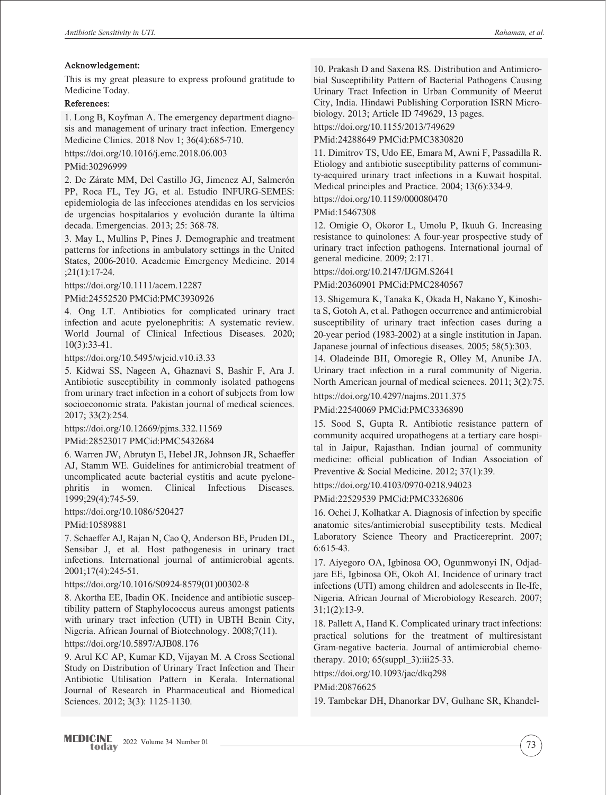#### **Acknowledgement:**

This is my great pleasure to express profound gratitude to Medicine Today.

### **References:**

1. Long B, Koyfman A. The emergency department diagnosis and management of urinary tract infection. Emergency Medicine Clinics. 2018 Nov 1; 36(4):685-710.

https://doi.org/10.1016/j.emc.2018.06.003

#### PMid:30296999

2. De Zárate MM, Del Castillo JG, Jimenez AJ, Salmerón PP, Roca FL, Tey JG, et al. Estudio INFURG-SEMES: epidemiologia de las infecciones atendidas en los servicios de urgencias hospitalarios y evolución durante la última decada. Emergencias. 2013; 25: 368-78.

3. May L, Mullins P, Pines J. Demographic and treatment patterns for infections in ambulatory settings in the United States, 2006‐2010. Academic Emergency Medicine. 2014 ;21(1):17-24.

https://doi.org/10.1111/acem.12287

PMid:24552520 PMCid:PMC3930926

4. Ong LT. Antibiotics for complicated urinary tract infection and acute pyelonephritis: A systematic review. World Journal of Clinical Infectious Diseases. 2020; 10(3):33-41.

https://doi.org/10.5495/wjcid.v10.i3.33

5. Kidwai SS, Nageen A, Ghaznavi S, Bashir F, Ara J. Antibiotic susceptibility in commonly isolated pathogens from urinary tract infection in a cohort of subjects from low socioeconomic strata. Pakistan journal of medical sciences. 2017; 33(2):254.

https://doi.org/10.12669/pjms.332.11569

PMid:28523017 PMCid:PMC5432684

6. Warren JW, Abrutyn E, Hebel JR, Johnson JR, Schaeffer AJ, Stamm WE. Guidelines for antimicrobial treatment of uncomplicated acute bacterial cystitis and acute pyelonephritis in women. Clinical Infectious Diseases. 1999;29(4):745-59.

https://doi.org/10.1086/520427

PMid:10589881

7. Schaeffer AJ, Rajan N, Cao Q, Anderson BE, Pruden DL, Sensibar J, et al. Host pathogenesis in urinary tract infections. International journal of antimicrobial agents. 2001;17(4):245-51.

https://doi.org/10.1016/S0924-8579(01)00302-8

8. Akortha EE, Ibadin OK. Incidence and antibiotic susceptibility pattern of Staphylococcus aureus amongst patients with urinary tract infection (UTI) in UBTH Benin City, Nigeria. African Journal of Biotechnology. 2008;7(11).

https://doi.org/10.5897/AJB08.176

9. Arul KC AP, Kumar KD, Vijayan M. A Cross Sectional Study on Distribution of Urinary Tract Infection and Their Antibiotic Utilisation Pattern in Kerala. International Journal of Research in Pharmaceutical and Biomedical Sciences. 2012; 3(3): 1125-1130.

10. Prakash D and Saxena RS. Distribution and Antimicrobial Susceptibility Pattern of Bacterial Pathogens Causing Urinary Tract Infection in Urban Community of Meerut City, India. Hindawi Publishing Corporation ISRN Microbiology. 2013; Article ID 749629, 13 pages.

https://doi.org/10.1155/2013/749629

PMid:24288649 PMCid:PMC3830820

11. Dimitrov TS, Udo EE, Emara M, Awni F, Passadilla R. Etiology and antibiotic susceptibility patterns of community-acquired urinary tract infections in a Kuwait hospital. Medical principles and Practice. 2004; 13(6):334-9.

https://doi.org/10.1159/000080470

PMid:15467308

12. Omigie O, Okoror L, Umolu P, Ikuuh G. Increasing resistance to quinolones: A four-year prospective study of urinary tract infection pathogens. International journal of general medicine. 2009; 2:171.

https://doi.org/10.2147/IJGM.S2641

PMid:20360901 PMCid:PMC2840567

13. Shigemura K, Tanaka K, Okada H, Nakano Y, Kinoshita S, Gotoh A, et al. Pathogen occurrence and antimicrobial susceptibility of urinary tract infection cases during a 20-year period (1983-2002) at a single institution in Japan. Japanese journal of infectious diseases. 2005; 58(5):303.

14. Oladeinde BH, Omoregie R, Olley M, Anunibe JA. Urinary tract infection in a rural community of Nigeria. North American journal of medical sciences. 2011; 3(2):75.

https://doi.org/10.4297/najms.2011.375

PMid:22540069 PMCid:PMC3336890

15. Sood S, Gupta R. Antibiotic resistance pattern of community acquired uropathogens at a tertiary care hospital in Jaipur, Rajasthan. Indian journal of community medicine: official publication of Indian Association of Preventive & Social Medicine. 2012; 37(1):39.

https://doi.org/10.4103/0970-0218.94023

PMid:22529539 PMCid:PMC3326806

16. Ochei J, Kolhatkar A. Diagnosis of infection by specific anatomic sites/antimicrobial susceptibility tests. Medical Laboratory Science Theory and Practicereprint. 2007; 6:615-43.

17. Aiyegoro OA, Igbinosa OO, Ogunmwonyi IN, Odjadjare EE, Igbinosa OE, Okoh AI. Incidence of urinary tract infections (UTI) among children and adolescents in Ile-Ife, Nigeria. African Journal of Microbiology Research. 2007; 31;1(2):13-9.

18. Pallett A, Hand K. Complicated urinary tract infections: practical solutions for the treatment of multiresistant Gram-negative bacteria. Journal of antimicrobial chemotherapy. 2010; 65(suppl\_3):iii25-33.

https://doi.org/10.1093/jac/dkq298

#### PMid:20876625

19. Tambekar DH, Dhanorkar DV, Gulhane SR, Khandel-